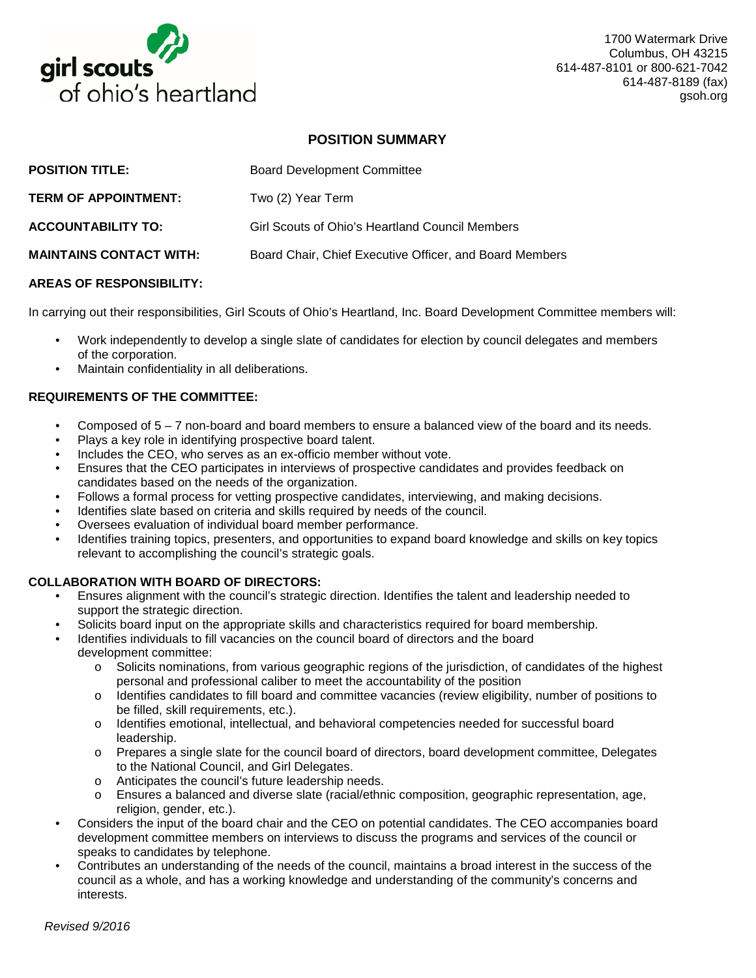

1700 Watermark Drive Columbus, OH 43215 614-487-8101 or 800-621-7042 614-487-8189 (fax) gsoh.org

# **POSITION SUMMARY**

| <b>POSITION TITLE:</b>         | <b>Board Development Committee</b>                      |
|--------------------------------|---------------------------------------------------------|
| <b>TERM OF APPOINTMENT:</b>    | Two (2) Year Term                                       |
| <b>ACCOUNTABILITY TO:</b>      | Girl Scouts of Ohio's Heartland Council Members         |
| <b>MAINTAINS CONTACT WITH:</b> | Board Chair, Chief Executive Officer, and Board Members |
|                                |                                                         |

### **AREAS OF RESPONSIBILITY:**

In carrying out their responsibilities, Girl Scouts of Ohio's Heartland, Inc. Board Development Committee members will:

- Work independently to develop a single slate of candidates for election by council delegates and members of the corporation.
- Maintain confidentiality in all deliberations.

### **REQUIREMENTS OF THE COMMITTEE:**

- Composed of 5 7 non-board and board members to ensure a balanced view of the board and its needs.
- Plays a key role in identifying prospective board talent.
- Includes the CEO, who serves as an ex-officio member without vote.
- Ensures that the CEO participates in interviews of prospective candidates and provides feedback on candidates based on the needs of the organization.
- Follows a formal process for vetting prospective candidates, interviewing, and making decisions.
- Identifies slate based on criteria and skills required by needs of the council.
- Oversees evaluation of individual board member performance.
- Identifies training topics, presenters, and opportunities to expand board knowledge and skills on key topics relevant to accomplishing the council's strategic goals.

### **COLLABORATION WITH BOARD OF DIRECTORS:**

- Ensures alignment with the council's strategic direction. Identifies the talent and leadership needed to support the strategic direction.
- Solicits board input on the appropriate skills and characteristics required for board membership.
- Identifies individuals to fill vacancies on the council board of directors and the board development committee:
	- o Solicits nominations, from various geographic regions of the jurisdiction, of candidates of the highest personal and professional caliber to meet the accountability of the position
	- o Identifies candidates to fill board and committee vacancies (review eligibility, number of positions to be filled, skill requirements, etc.).
	- o Identifies emotional, intellectual, and behavioral competencies needed for successful board leadership.
	- o Prepares a single slate for the council board of directors, board development committee, Delegates to the National Council, and Girl Delegates.
	- o Anticipates the council's future leadership needs.<br>
	o Ensures a balanced and diverse slate (racial/ethn
	- Ensures a balanced and diverse slate (racial/ethnic composition, geographic representation, age, religion, gender, etc.).
- Considers the input of the board chair and the CEO on potential candidates. The CEO accompanies board development committee members on interviews to discuss the programs and services of the council or speaks to candidates by telephone.
- Contributes an understanding of the needs of the council, maintains a broad interest in the success of the council as a whole, and has a working knowledge and understanding of the community's concerns and interests.